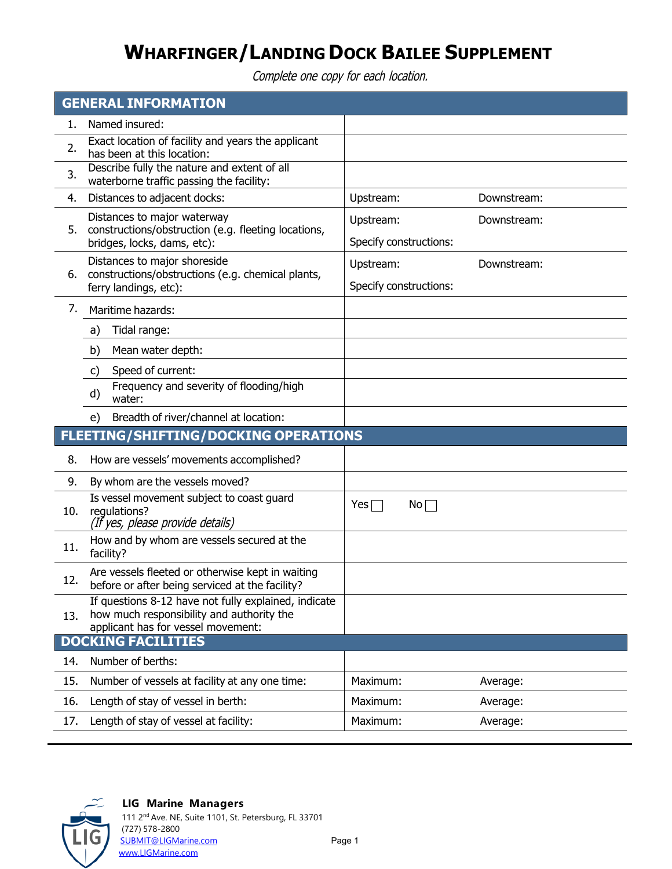# **WHARFINGER/LANDING DOCK BAILEE SUPPLEMENT**

Complete one copy for each location.

| <b>GENERAL INFORMATION</b> |                                                                                                                                         |                                     |             |
|----------------------------|-----------------------------------------------------------------------------------------------------------------------------------------|-------------------------------------|-------------|
| 1.                         | Named insured:                                                                                                                          |                                     |             |
| 2.                         | Exact location of facility and years the applicant<br>has been at this location:                                                        |                                     |             |
| 3.                         | Describe fully the nature and extent of all<br>waterborne traffic passing the facility:                                                 |                                     |             |
| 4.                         | Distances to adjacent docks:                                                                                                            | Upstream:                           | Downstream: |
| 5.                         | Distances to major waterway<br>constructions/obstruction (e.g. fleeting locations,<br>bridges, locks, dams, etc):                       | Upstream:<br>Specify constructions: | Downstream: |
| 6.                         | Distances to major shoreside<br>constructions/obstructions (e.g. chemical plants,<br>ferry landings, etc):                              | Upstream:<br>Specify constructions: | Downstream: |
| 7.                         | Maritime hazards:                                                                                                                       |                                     |             |
|                            | Tidal range:<br>a)                                                                                                                      |                                     |             |
|                            | Mean water depth:<br>b)                                                                                                                 |                                     |             |
|                            | Speed of current:<br>C)                                                                                                                 |                                     |             |
|                            | Frequency and severity of flooding/high<br>d)<br>water:                                                                                 |                                     |             |
|                            | Breadth of river/channel at location:<br>e)                                                                                             |                                     |             |
|                            | <b>FLEETING/SHIFTING/DOCKING OPERATIONS</b>                                                                                             |                                     |             |
| 8.                         | How are vessels' movements accomplished?                                                                                                |                                     |             |
| 9.                         | By whom are the vessels moved?                                                                                                          |                                     |             |
| 10.                        | Is vessel movement subject to coast guard<br>regulations?<br>(If yes, please provide details)                                           | Yes $\Box$<br>$No \Box$             |             |
| 11.                        | How and by whom are vessels secured at the<br>facility?                                                                                 |                                     |             |
| 12.                        | Are vessels fleeted or otherwise kept in waiting<br>before or after being serviced at the facility?                                     |                                     |             |
| 13.                        | If questions 8-12 have not fully explained, indicate<br>how much responsibility and authority the<br>applicant has for vessel movement: |                                     |             |
|                            | <b>DOCKING FACILITIES</b>                                                                                                               |                                     |             |
| 14.                        | Number of berths:                                                                                                                       |                                     |             |
| 15.                        | Number of vessels at facility at any one time:                                                                                          | Maximum:                            | Average:    |
| 16.                        | Length of stay of vessel in berth:                                                                                                      | Maximum:                            | Average:    |
| 17.                        | Length of stay of vessel at facility:                                                                                                   | Maximum:                            | Average:    |



### **LIG Marine Managers**

111 2nd Ave. NE, Suite 1101, St. Petersburg, FL 33701 (727) 578-2800 [SUBMIT@LIGMarine.com](mailto:SUBMIT@LIGMarine.com) enterprise and page 1 [www.LIGMarine.com](http://www.ligmarine.com/)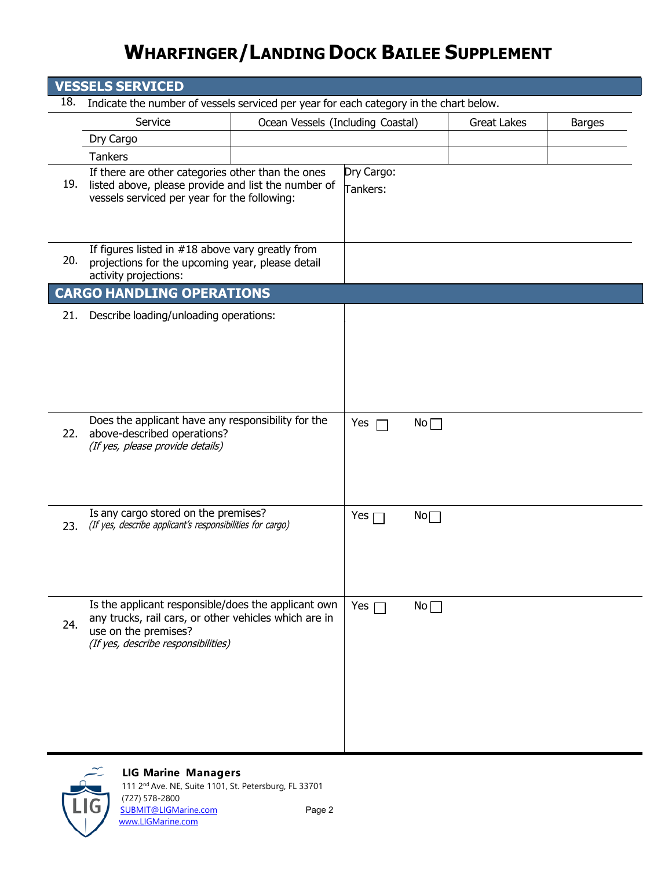# **WHARFINGER/LANDING DOCK BAILEE SUPPLEMENT**

| <b>VESSELS SERVICED</b> |                                                                                                                                                                             |                                   |                        |                   |                    |               |
|-------------------------|-----------------------------------------------------------------------------------------------------------------------------------------------------------------------------|-----------------------------------|------------------------|-------------------|--------------------|---------------|
| 18.                     | Indicate the number of vessels serviced per year for each category in the chart below.                                                                                      |                                   |                        |                   |                    |               |
|                         | Service                                                                                                                                                                     | Ocean Vessels (Including Coastal) |                        |                   | <b>Great Lakes</b> | <b>Barges</b> |
|                         | Dry Cargo                                                                                                                                                                   |                                   |                        |                   |                    |               |
|                         | <b>Tankers</b>                                                                                                                                                              |                                   |                        |                   |                    |               |
|                         | If there are other categories other than the ones<br>19. listed above, please provide and list the number of<br>vessels serviced per year for the following:                |                                   | Dry Cargo:<br>Tankers: |                   |                    |               |
| 20.                     | If figures listed in $#18$ above vary greatly from<br>projections for the upcoming year, please detail<br>activity projections:                                             |                                   |                        |                   |                    |               |
|                         | <b>CARGO HANDLING OPERATIONS</b>                                                                                                                                            |                                   |                        |                   |                    |               |
| 21.                     | Describe loading/unloading operations:                                                                                                                                      |                                   |                        |                   |                    |               |
| 22.                     | Does the applicant have any responsibility for the<br>above-described operations?<br>(If yes, please provide details)                                                       |                                   | Yes                    | $No \Box$         |                    |               |
| 23.                     | Is any cargo stored on the premises?<br>(If yes, describe applicant's responsibilities for cargo)                                                                           |                                   | Yes $\Box$             | $\mathsf{No}\Box$ |                    |               |
| 24.                     | Is the applicant responsible/does the applicant own<br>any trucks, rail cars, or other vehicles which are in<br>use on the premises?<br>(If yes, describe responsibilities) |                                   | Yes $\Box$             | $No \Box$         |                    |               |



### **LIG Marine Managers**

[SUBMIT@LIGMarine.com](mailto:SUBMIT@LIGMarine.com)

111 2nd Ave. NE, Suite 1101, St. Petersburg, FL 33701 (727) 578-2800